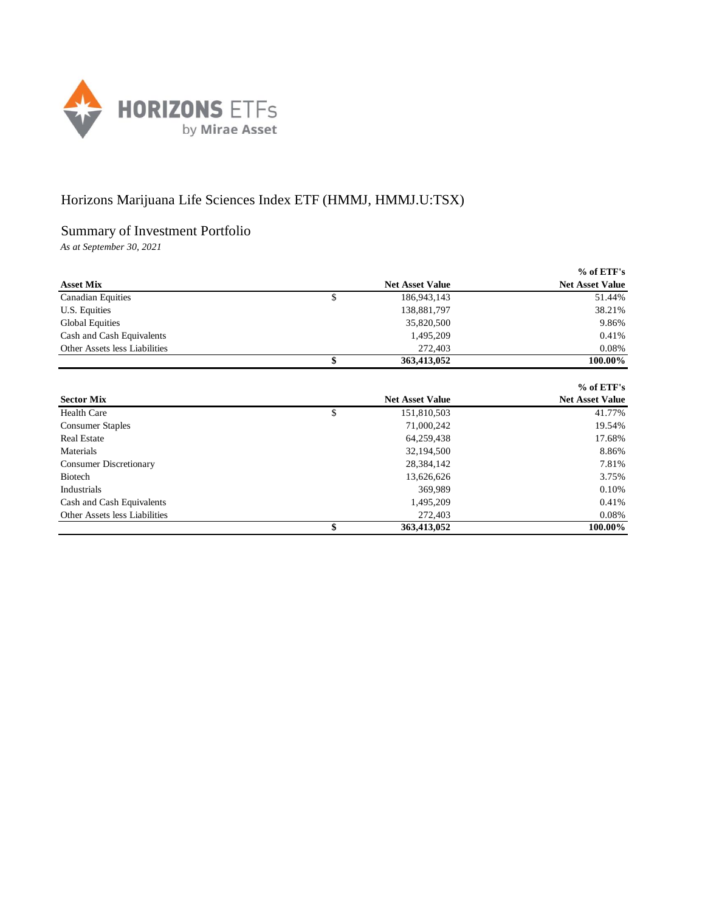

## Horizons Marijuana Life Sciences Index ETF (HMMJ, HMMJ.U:TSX)

## Summary of Investment Portfolio

*As at September 30, 2021*

|                               |                        | $%$ of ETF's           |
|-------------------------------|------------------------|------------------------|
| <b>Asset Mix</b>              | <b>Net Asset Value</b> | <b>Net Asset Value</b> |
| <b>Canadian Equities</b>      | \$<br>186,943,143      | 51.44%                 |
| U.S. Equities                 | 138,881,797            | 38.21%                 |
| Global Equities               | 35,820,500             | 9.86%                  |
| Cash and Cash Equivalents     | 1,495,209              | 0.41%                  |
| Other Assets less Liabilities | 272,403                | 0.08%                  |
|                               | 363,413,052            | 100.00%                |

|                               |                        | $%$ of ETF's           |
|-------------------------------|------------------------|------------------------|
| <b>Sector Mix</b>             | <b>Net Asset Value</b> | <b>Net Asset Value</b> |
| <b>Health Care</b>            | \$<br>151,810,503      | 41.77%                 |
| <b>Consumer Staples</b>       | 71,000,242             | 19.54%                 |
| <b>Real Estate</b>            | 64,259,438             | 17.68%                 |
| Materials                     | 32,194,500             | 8.86%                  |
| <b>Consumer Discretionary</b> | 28,384,142             | 7.81%                  |
| <b>Biotech</b>                | 13,626,626             | 3.75%                  |
| Industrials                   | 369,989                | 0.10%                  |
| Cash and Cash Equivalents     | 1,495,209              | 0.41%                  |
| Other Assets less Liabilities | 272,403                | 0.08%                  |
|                               | 363,413,052            | 100.00%                |